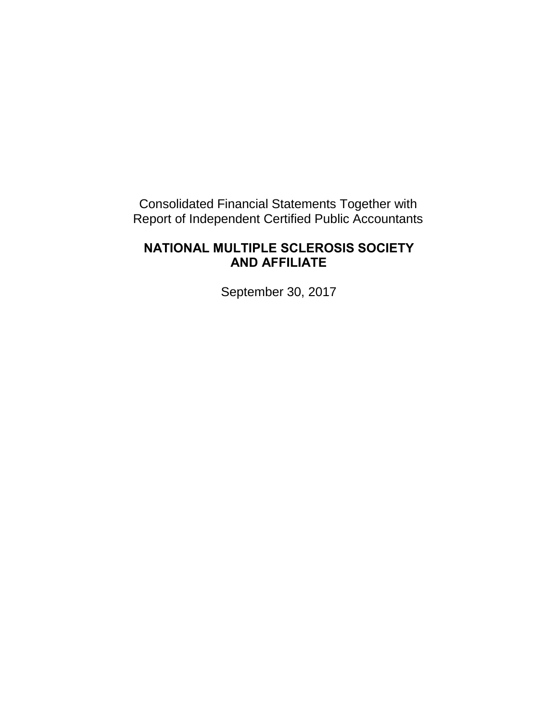# Consolidated Financial Statements Together with Report of Independent Certified Public Accountants

# **NATIONAL MULTIPLE SCLEROSIS SOCIETY AND AFFILIATE**

September 30, 2017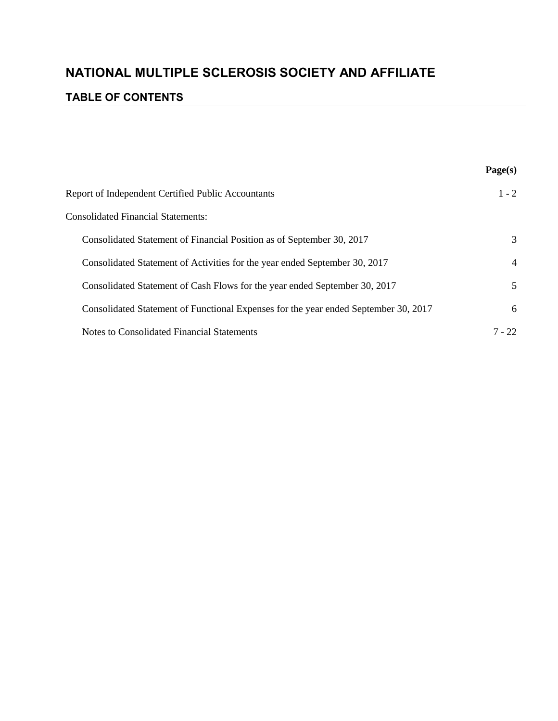## **TABLE OF CONTENTS**

| Report of Independent Certified Public Accountants                                  | $1 - 2$        |
|-------------------------------------------------------------------------------------|----------------|
| <b>Consolidated Financial Statements:</b>                                           |                |
| Consolidated Statement of Financial Position as of September 30, 2017               | 3              |
| Consolidated Statement of Activities for the year ended September 30, 2017          | $\overline{4}$ |
| Consolidated Statement of Cash Flows for the year ended September 30, 2017          | 5              |
| Consolidated Statement of Functional Expenses for the year ended September 30, 2017 | 6              |
| Notes to Consolidated Financial Statements                                          | $7 - 22$       |

**Page(s)**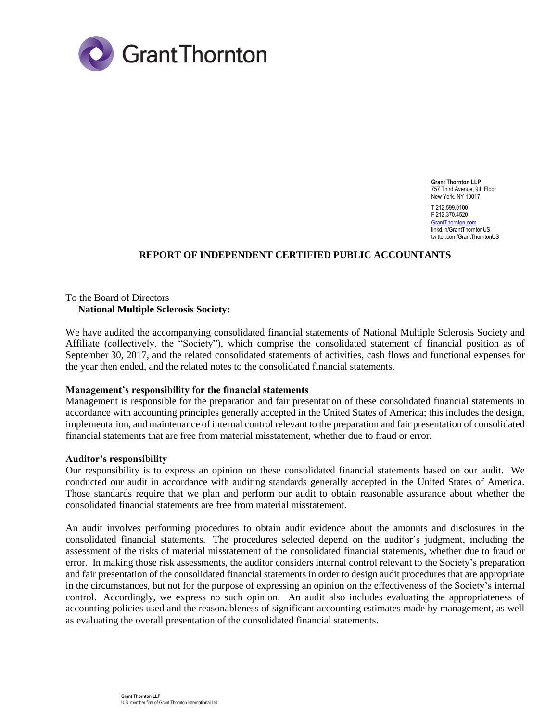

**Grant Thornton LLP** 757 Third Avenue, 9th Floor New York, NY 10017

T 212.599.0100 F 212.370.4520 GrantThornton.com linkd.in/GrantThorntonUS twitter.com/GrantThorntonUS

### **REPORT OF INDEPENDENT CERTIFIED PUBLIC ACCOUNTANTS**

To the Board of Directors **National Multiple Sclerosis Society:**

We have audited the accompanying consolidated financial statements of National Multiple Sclerosis Society and Affiliate (collectively, the "Society"), which comprise the consolidated statement of financial position as of September 30, 2017, and the related consolidated statements of activities, cash flows and functional expenses for the year then ended, and the related notes to the consolidated financial statements.

### **Management's responsibility for the financial statements**

Management is responsible for the preparation and fair presentation of these consolidated financial statements in accordance with accounting principles generally accepted in the United States of America; this includes the design, implementation, and maintenance of internal control relevant to the preparation and fair presentation of consolidated financial statements that are free from material misstatement, whether due to fraud or error.

#### **Auditor's responsibility**

Our responsibility is to express an opinion on these consolidated financial statements based on our audit. We conducted our audit in accordance with auditing standards generally accepted in the United States of America. Those standards require that we plan and perform our audit to obtain reasonable assurance about whether the consolidated financial statements are free from material misstatement.

An audit involves performing procedures to obtain audit evidence about the amounts and disclosures in the consolidated financial statements. The procedures selected depend on the auditor's judgment, including the assessment of the risks of material misstatement of the consolidated financial statements, whether due to fraud or error. In making those risk assessments, the auditor considers internal control relevant to the Society's preparation and fair presentation of the consolidated financial statements in order to design audit procedures that are appropriate in the circumstances, but not for the purpose of expressing an opinion on the effectiveness of the Society's internal control. Accordingly, we express no such opinion. An audit also includes evaluating the appropriateness of accounting policies used and the reasonableness of significant accounting estimates made by management, as well as evaluating the overall presentation of the consolidated financial statements.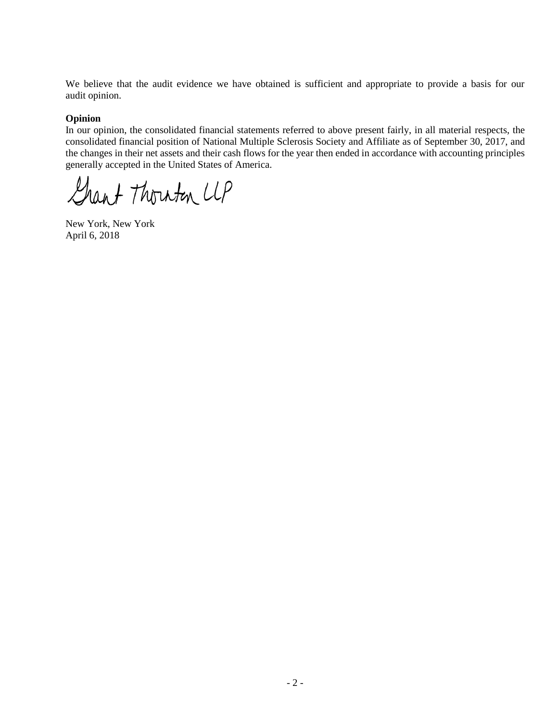We believe that the audit evidence we have obtained is sufficient and appropriate to provide a basis for our audit opinion.

### **Opinion**

In our opinion, the consolidated financial statements referred to above present fairly, in all material respects, the consolidated financial position of National Multiple Sclerosis Society and Affiliate as of September 30, 2017, and the changes in their net assets and their cash flows for the year then ended in accordance with accounting principles generally accepted in the United States of America.

Grant Thornton LLP

New York, New York April 6, 2018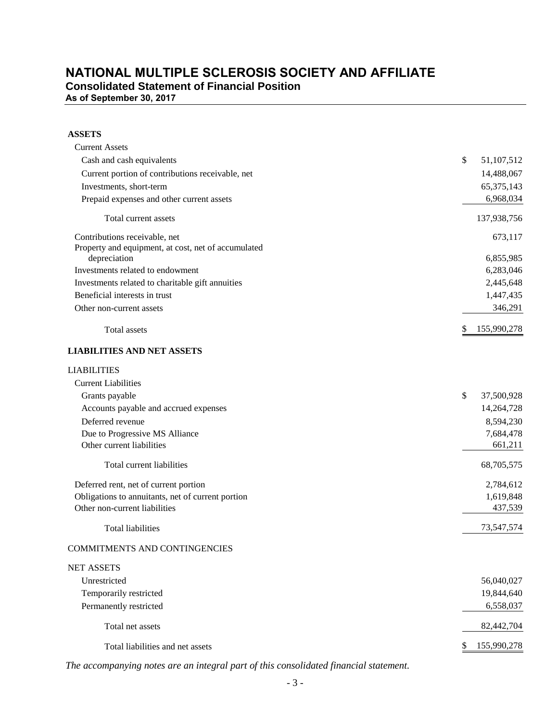**Consolidated Statement of Financial Position**

**As of September 30, 2017**

#### **ASSETS**

| <b>Current Assets</b>                               |                   |
|-----------------------------------------------------|-------------------|
| Cash and cash equivalents                           | \$<br>51,107,512  |
| Current portion of contributions receivable, net    | 14,488,067        |
| Investments, short-term                             | 65, 375, 143      |
| Prepaid expenses and other current assets           | 6,968,034         |
| Total current assets                                | 137,938,756       |
| Contributions receivable, net                       | 673,117           |
| Property and equipment, at cost, net of accumulated |                   |
| depreciation                                        | 6,855,985         |
| Investments related to endowment                    | 6,283,046         |
| Investments related to charitable gift annuities    | 2,445,648         |
| Beneficial interests in trust                       | 1,447,435         |
| Other non-current assets                            | 346,291           |
| Total assets                                        | 155,990,278<br>\$ |
| <b>LIABILITIES AND NET ASSETS</b>                   |                   |
| <b>LIABILITIES</b>                                  |                   |
| <b>Current Liabilities</b>                          |                   |
| Grants payable                                      | \$<br>37,500,928  |
| Accounts payable and accrued expenses               | 14,264,728        |
| Deferred revenue                                    | 8,594,230         |
| Due to Progressive MS Alliance                      | 7,684,478         |
| Other current liabilities                           | 661,211           |
| Total current liabilities                           | 68,705,575        |
| Deferred rent, net of current portion               | 2,784,612         |
| Obligations to annuitants, net of current portion   | 1,619,848         |
| Other non-current liabilities                       | 437,539           |
| <b>Total liabilities</b>                            | 73,547,574        |
| <b>COMMITMENTS AND CONTINGENCIES</b>                |                   |
| <b>NET ASSETS</b>                                   |                   |
| Unrestricted                                        | 56,040,027        |
| Temporarily restricted                              | 19,844,640        |
| Permanently restricted                              | 6,558,037         |
| Total net assets                                    | 82,442,704        |
| Total liabilities and net assets                    | 155,990,278<br>\$ |
|                                                     |                   |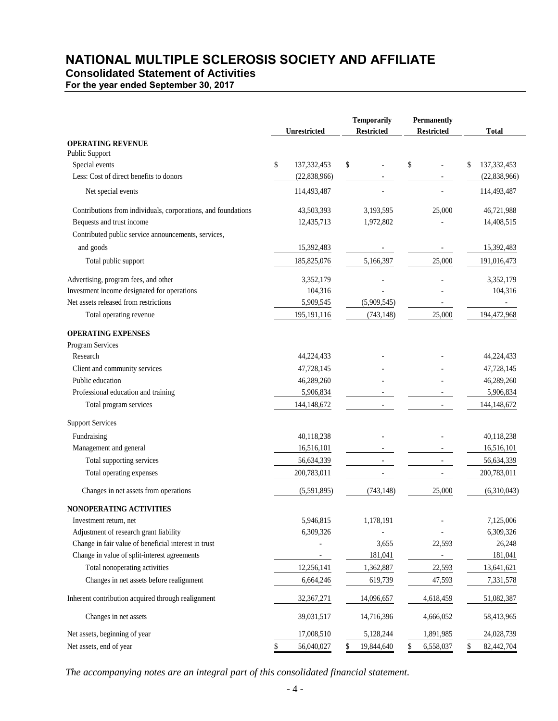## **Consolidated Statement of Activities**

**For the year ended September 30, 2017**

|                                                               | Unrestricted        | <b>Temporarily</b><br><b>Restricted</b> | Permanently<br><b>Restricted</b> | <b>Total</b>       |
|---------------------------------------------------------------|---------------------|-----------------------------------------|----------------------------------|--------------------|
| <b>OPERATING REVENUE</b>                                      |                     |                                         |                                  |                    |
| Public Support                                                |                     |                                         |                                  |                    |
| Special events                                                | \$<br>137, 332, 453 | \$                                      | \$                               | 137, 332, 453<br>S |
| Less: Cost of direct benefits to donors                       | (22,838,966)        |                                         |                                  | (22, 838, 966)     |
| Net special events                                            | 114,493,487         |                                         |                                  | 114,493,487        |
| Contributions from individuals, corporations, and foundations | 43,503,393          | 3,193,595                               | 25,000                           | 46,721,988         |
| Bequests and trust income                                     | 12,435,713          | 1,972,802                               |                                  | 14,408,515         |
| Contributed public service announcements, services,           |                     |                                         |                                  |                    |
| and goods                                                     | 15,392,483          |                                         |                                  | 15,392,483         |
| Total public support                                          | 185,825,076         | 5,166,397                               | 25,000                           | 191,016,473        |
| Advertising, program fees, and other                          | 3,352,179           |                                         |                                  | 3,352,179          |
| Investment income designated for operations                   | 104,316             |                                         |                                  | 104,316            |
| Net assets released from restrictions                         | 5,909,545           | (5,909,545)                             |                                  |                    |
| Total operating revenue                                       | 195,191,116         | (743, 148)                              | 25,000                           | 194,472,968        |
| <b>OPERATING EXPENSES</b>                                     |                     |                                         |                                  |                    |
| Program Services                                              |                     |                                         |                                  |                    |
| Research                                                      | 44,224,433          |                                         |                                  | 44,224,433         |
| Client and community services                                 | 47,728,145          |                                         |                                  | 47,728,145         |
| Public education                                              | 46,289,260          |                                         |                                  | 46,289,260         |
| Professional education and training                           | 5,906,834           |                                         |                                  | 5,906,834          |
| Total program services                                        | 144,148,672         |                                         |                                  | 144, 148, 672      |
| <b>Support Services</b>                                       |                     |                                         |                                  |                    |
| Fundraising                                                   | 40,118,238          |                                         |                                  | 40,118,238         |
| Management and general                                        | 16,516,101          |                                         |                                  | 16,516,101         |
| Total supporting services                                     | 56,634,339          |                                         |                                  | 56,634,339         |
| Total operating expenses                                      | 200,783,011         | $\overline{\phantom{a}}$                | $\overline{\phantom{a}}$         | 200,783,011        |
| Changes in net assets from operations                         | (5,591,895)         | (743, 148)                              | 25,000                           | (6,310,043)        |
| NONOPERATING ACTIVITIES                                       |                     |                                         |                                  |                    |
| Investment return, net                                        | 5,946,815           | 1,178,191                               |                                  | 7,125,006          |
| Adjustment of research grant liability                        | 6,309,326           |                                         |                                  | 6,309,326          |
| Change in fair value of beneficial interest in trust          |                     | 3,655                                   | 22,593                           | 26,248             |
| Change in value of split-interest agreements                  |                     | 181,041                                 | $\overline{\phantom{a}}$         | 181,041            |
| Total nonoperating activities                                 | 12,256,141          | 1,362,887                               | 22,593                           | 13,641,621         |
| Changes in net assets before realignment                      | 6,664,246           | 619,739                                 | 47,593                           | 7,331,578          |
| Inherent contribution acquired through realignment            | 32,367,271          | 14,096,657                              | 4,618,459                        | 51,082,387         |
| Changes in net assets                                         | 39,031,517          | 14,716,396                              | 4,666,052                        | 58,413,965         |
| Net assets, beginning of year                                 | 17,008,510          | 5,128,244                               | 1,891,985                        | 24,028,739         |
| Net assets, end of year                                       | \$<br>56,040,027    | 19,844,640<br>\$                        | \$<br>6,558,037                  | \$<br>82,442,704   |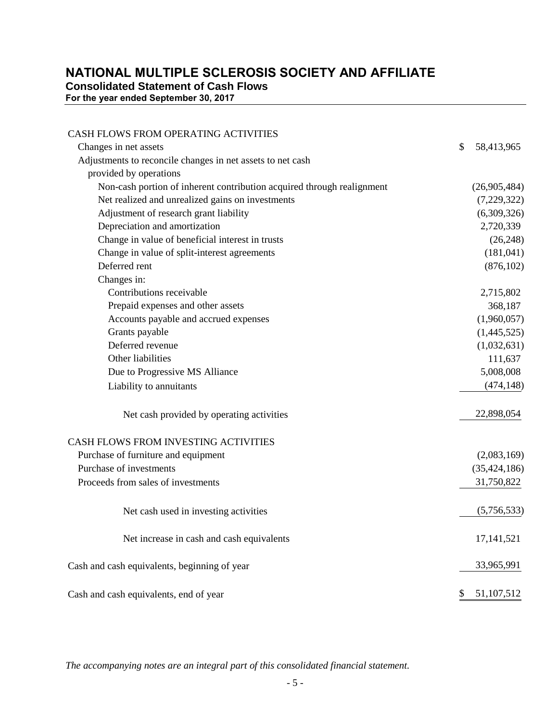**Consolidated Statement of Cash Flows**

**For the year ended September 30, 2017**

| CASH FLOWS FROM OPERATING ACTIVITIES                                   |                  |
|------------------------------------------------------------------------|------------------|
| Changes in net assets                                                  | \$<br>58,413,965 |
| Adjustments to reconcile changes in net assets to net cash             |                  |
| provided by operations                                                 |                  |
| Non-cash portion of inherent contribution acquired through realignment | (26,905,484)     |
| Net realized and unrealized gains on investments                       | (7,229,322)      |
| Adjustment of research grant liability                                 | (6,309,326)      |
| Depreciation and amortization                                          | 2,720,339        |
| Change in value of beneficial interest in trusts                       | (26, 248)        |
| Change in value of split-interest agreements                           | (181, 041)       |
| Deferred rent                                                          | (876, 102)       |
| Changes in:                                                            |                  |
| Contributions receivable                                               | 2,715,802        |
| Prepaid expenses and other assets                                      | 368,187          |
| Accounts payable and accrued expenses                                  | (1,960,057)      |
| Grants payable                                                         | (1,445,525)      |
| Deferred revenue                                                       | (1,032,631)      |
| Other liabilities                                                      | 111,637          |
| Due to Progressive MS Alliance                                         | 5,008,008        |
| Liability to annuitants                                                | (474, 148)       |
| Net cash provided by operating activities                              | 22,898,054       |
| CASH FLOWS FROM INVESTING ACTIVITIES                                   |                  |
| Purchase of furniture and equipment                                    | (2,083,169)      |
| Purchase of investments                                                | (35, 424, 186)   |
| Proceeds from sales of investments                                     | 31,750,822       |
| Net cash used in investing activities                                  | (5,756,533)      |
| Net increase in cash and cash equivalents                              | 17, 141, 521     |
| Cash and cash equivalents, beginning of year                           | 33,965,991       |
| Cash and cash equivalents, end of year                                 | \$<br>51,107,512 |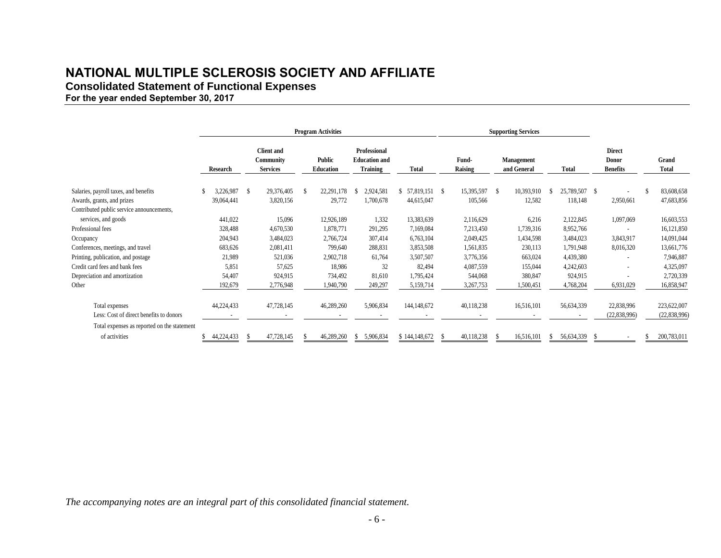## **NATIONAL MULTIPLE SCLEROSIS SOCIETY AND AFFILIATE Consolidated Statement of Functional Expenses**

**For the year ended September 30, 2017**

|                                                                         |            |                                                   |    | <b>Program Activities</b> |                                                  |                  | <b>Supporting Services</b> |                  |     |                                  |               |     |                                           |   |                |
|-------------------------------------------------------------------------|------------|---------------------------------------------------|----|---------------------------|--------------------------------------------------|------------------|----------------------------|------------------|-----|----------------------------------|---------------|-----|-------------------------------------------|---|----------------|
|                                                                         | Research   | <b>Client</b> and<br>Community<br><b>Services</b> |    | Public<br>Education       | Professional<br><b>Education and</b><br>Training | <b>Total</b>     |                            | Fund-<br>Raising |     | <b>Management</b><br>and General | <b>Total</b>  |     | <b>Direct</b><br>Donor<br><b>Benefits</b> |   | Grand<br>Total |
| Salaries, payroll taxes, and benefits                                   | 3,226,987  | 29,376,405<br>-S                                  | -S | 22,291,178                | 2,924,581                                        | 57,819,151<br>S. | - S                        | 15,395,597       | - S | 10,393,910                       | 25,789,507 \$ |     |                                           | S | 83,608,658     |
| Awards, grants, and prizes<br>Contributed public service announcements, | 39,064,441 | 3,820,156                                         |    | 29,772                    | 1,700,678                                        | 44,615,047       |                            | 105,566          |     | 12,582                           | 118,148       |     | 2,950,661                                 |   | 47,683,856     |
| services, and goods                                                     | 441,022    | 15,096                                            |    | 12,926,189                | 1,332                                            | 13,383,639       |                            | 2,116,629        |     | 6,216                            | 2,122,845     |     | 1,097,069                                 |   | 16,603,553     |
| Professional fees                                                       | 328,488    | 4,670,530                                         |    | 1,878,771                 | 291,295                                          | 7,169,084        |                            | 7,213,450        |     | 1,739,316                        | 8,952,766     |     |                                           |   | 16,121,850     |
| Occupancy                                                               | 204,943    | 3,484,023                                         |    | 2,766,724                 | 307,414                                          | 6,763,104        |                            | 2,049,425        |     | 1,434,598                        | 3,484,023     |     | 3,843,917                                 |   | 14,091,044     |
| Conferences, meetings, and travel                                       | 683,626    | 2,081,411                                         |    | 799,640                   | 288,831                                          | 3,853,508        |                            | 1,561,835        |     | 230,113                          | 1,791,948     |     | 8,016,320                                 |   | 13,661,776     |
| Printing, publication, and postage                                      | 21,989     | 521,036                                           |    | 2,902,718                 | 61,764                                           | 3,507,507        |                            | 3,776,356        |     | 663,024                          | 4,439,380     |     |                                           |   | 7,946,887      |
| Credit card fees and bank fees                                          | 5,851      | 57,625                                            |    | 18,986                    | 32                                               | 82,494           |                            | 4,087,559        |     | 155,044                          | 4,242,603     |     |                                           |   | 4,325,097      |
| Depreciation and amortization                                           | 54,407     | 924,915                                           |    | 734,492                   | 81,610                                           | 1,795,424        |                            | 544,068          |     | 380,847                          | 924,915       |     |                                           |   | 2,720,339      |
| Other                                                                   | 192,679    | 2,776,948                                         |    | 1,940,790                 | 249,297                                          | 5,159,714        |                            | 3,267,753        |     | 1,500,451                        | 4,768,204     |     | 6,931,029                                 |   | 16,858,947     |
| Total expenses                                                          | 44,224,433 | 47,728,145                                        |    | 46,289,260                | 5,906,834                                        | 144, 148, 672    |                            | 40,118,238       |     | 16,516,101                       | 56,634,339    |     | 22,838,996                                |   | 223,622,007    |
| Less: Cost of direct benefits to donors                                 |            |                                                   |    |                           |                                                  |                  |                            |                  |     |                                  |               |     | (22, 838, 996)                            |   | (22,838,996)   |
| Total expenses as reported on the statement                             |            |                                                   |    |                           |                                                  |                  |                            |                  |     |                                  |               |     |                                           |   |                |
| of activities                                                           | 44,224,433 | 47,728,145                                        |    | 46,289,260                | 5,906,834<br><sup>S</sup>                        | \$144,148,672    |                            | 40,118,238       |     | 16,516,101                       | 56,634,339    | - S |                                           |   | 200,783,011    |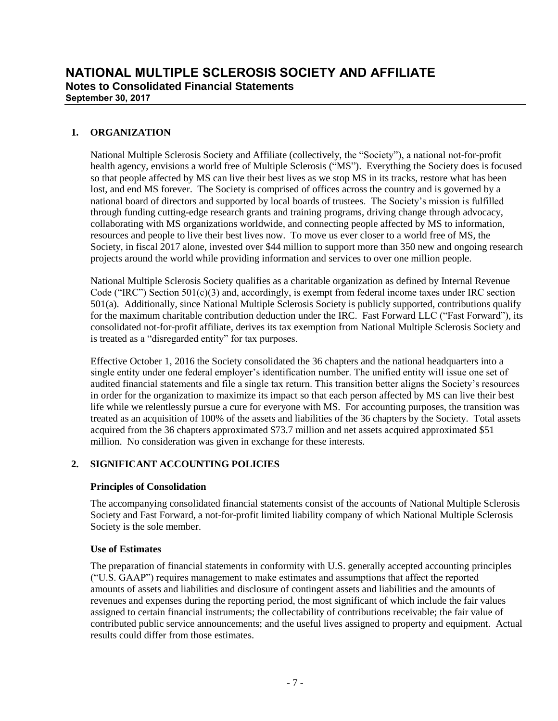## **1. ORGANIZATION**

National Multiple Sclerosis Society and Affiliate (collectively, the "Society"), a national not-for-profit health agency, envisions a world free of Multiple Sclerosis ("MS"). Everything the Society does is focused so that people affected by MS can live their best lives as we stop MS in its tracks, restore what has been lost, and end MS forever. The Society is comprised of offices across the country and is governed by a national board of directors and supported by local boards of trustees. The Society's mission is fulfilled through funding cutting-edge research grants and training programs, driving change through advocacy, collaborating with MS organizations worldwide, and connecting people affected by MS to information, resources and people to live their best lives now. To move us ever closer to a world free of MS, the Society, in fiscal 2017 alone, invested over \$44 million to support more than 350 new and ongoing research projects around the world while providing information and services to over one million people.

National Multiple Sclerosis Society qualifies as a charitable organization as defined by Internal Revenue Code ("IRC") Section 501(c)(3) and, accordingly, is exempt from federal income taxes under IRC section 501(a). Additionally, since National Multiple Sclerosis Society is publicly supported, contributions qualify for the maximum charitable contribution deduction under the IRC. Fast Forward LLC ("Fast Forward"), its consolidated not-for-profit affiliate, derives its tax exemption from National Multiple Sclerosis Society and is treated as a "disregarded entity" for tax purposes.

Effective October 1, 2016 the Society consolidated the 36 chapters and the national headquarters into a single entity under one federal employer's identification number. The unified entity will issue one set of audited financial statements and file a single tax return. This transition better aligns the Society's resources in order for the organization to maximize its impact so that each person affected by MS can live their best life while we relentlessly pursue a cure for everyone with MS. For accounting purposes, the transition was treated as an acquisition of 100% of the assets and liabilities of the 36 chapters by the Society. Total assets acquired from the 36 chapters approximated \$73.7 million and net assets acquired approximated \$51 million. No consideration was given in exchange for these interests.

## **2. SIGNIFICANT ACCOUNTING POLICIES**

### **Principles of Consolidation**

The accompanying consolidated financial statements consist of the accounts of National Multiple Sclerosis Society and Fast Forward, a not-for-profit limited liability company of which National Multiple Sclerosis Society is the sole member.

### **Use of Estimates**

The preparation of financial statements in conformity with U.S. generally accepted accounting principles ("U.S. GAAP") requires management to make estimates and assumptions that affect the reported amounts of assets and liabilities and disclosure of contingent assets and liabilities and the amounts of revenues and expenses during the reporting period, the most significant of which include the fair values assigned to certain financial instruments; the collectability of contributions receivable; the fair value of contributed public service announcements; and the useful lives assigned to property and equipment. Actual results could differ from those estimates.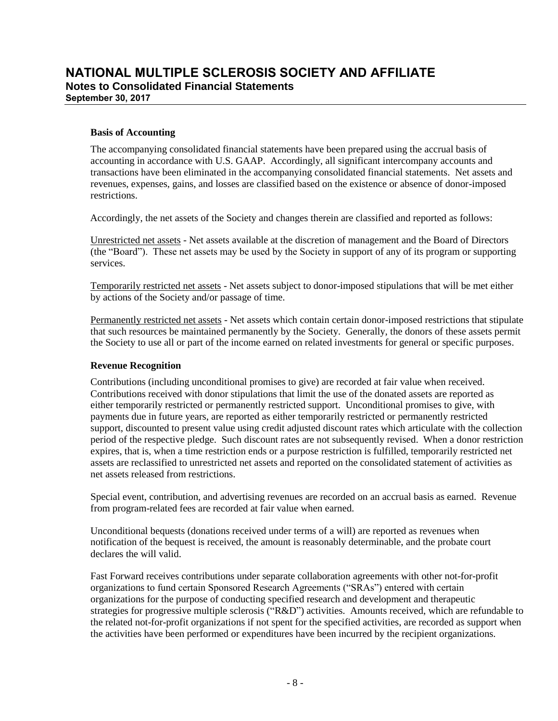## **Basis of Accounting**

The accompanying consolidated financial statements have been prepared using the accrual basis of accounting in accordance with U.S. GAAP. Accordingly, all significant intercompany accounts and transactions have been eliminated in the accompanying consolidated financial statements. Net assets and revenues, expenses, gains, and losses are classified based on the existence or absence of donor-imposed restrictions.

Accordingly, the net assets of the Society and changes therein are classified and reported as follows:

Unrestricted net assets - Net assets available at the discretion of management and the Board of Directors (the "Board"). These net assets may be used by the Society in support of any of its program or supporting services.

Temporarily restricted net assets - Net assets subject to donor-imposed stipulations that will be met either by actions of the Society and/or passage of time.

Permanently restricted net assets - Net assets which contain certain donor-imposed restrictions that stipulate that such resources be maintained permanently by the Society. Generally, the donors of these assets permit the Society to use all or part of the income earned on related investments for general or specific purposes.

### **Revenue Recognition**

Contributions (including unconditional promises to give) are recorded at fair value when received. Contributions received with donor stipulations that limit the use of the donated assets are reported as either temporarily restricted or permanently restricted support. Unconditional promises to give, with payments due in future years, are reported as either temporarily restricted or permanently restricted support, discounted to present value using credit adjusted discount rates which articulate with the collection period of the respective pledge. Such discount rates are not subsequently revised. When a donor restriction expires, that is, when a time restriction ends or a purpose restriction is fulfilled, temporarily restricted net assets are reclassified to unrestricted net assets and reported on the consolidated statement of activities as net assets released from restrictions.

Special event, contribution, and advertising revenues are recorded on an accrual basis as earned. Revenue from program-related fees are recorded at fair value when earned.

Unconditional bequests (donations received under terms of a will) are reported as revenues when notification of the bequest is received, the amount is reasonably determinable, and the probate court declares the will valid.

Fast Forward receives contributions under separate collaboration agreements with other not-for-profit organizations to fund certain Sponsored Research Agreements ("SRAs") entered with certain organizations for the purpose of conducting specified research and development and therapeutic strategies for progressive multiple sclerosis ("R&D") activities. Amounts received, which are refundable to the related not-for-profit organizations if not spent for the specified activities, are recorded as support when the activities have been performed or expenditures have been incurred by the recipient organizations.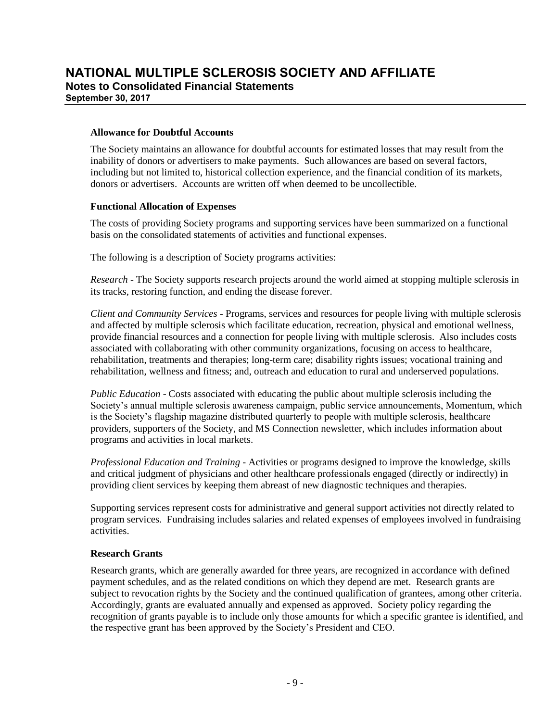## **Allowance for Doubtful Accounts**

The Society maintains an allowance for doubtful accounts for estimated losses that may result from the inability of donors or advertisers to make payments. Such allowances are based on several factors, including but not limited to, historical collection experience, and the financial condition of its markets, donors or advertisers. Accounts are written off when deemed to be uncollectible.

### **Functional Allocation of Expenses**

The costs of providing Society programs and supporting services have been summarized on a functional basis on the consolidated statements of activities and functional expenses.

The following is a description of Society programs activities:

*Research -* The Society supports research projects around the world aimed at stopping multiple sclerosis in its tracks, restoring function, and ending the disease forever.

*Client and Community Services -* Programs, services and resources for people living with multiple sclerosis and affected by multiple sclerosis which facilitate education, recreation, physical and emotional wellness, provide financial resources and a connection for people living with multiple sclerosis. Also includes costs associated with collaborating with other community organizations, focusing on access to healthcare, rehabilitation, treatments and therapies; long-term care; disability rights issues; vocational training and rehabilitation, wellness and fitness; and, outreach and education to rural and underserved populations.

*Public Education* - Costs associated with educating the public about multiple sclerosis including the Society's annual multiple sclerosis awareness campaign, public service announcements, Momentum, which is the Society's flagship magazine distributed quarterly to people with multiple sclerosis, healthcare providers, supporters of the Society, and MS Connection newsletter, which includes information about programs and activities in local markets.

*Professional Education and Training -* Activities or programs designed to improve the knowledge, skills and critical judgment of physicians and other healthcare professionals engaged (directly or indirectly) in providing client services by keeping them abreast of new diagnostic techniques and therapies.

Supporting services represent costs for administrative and general support activities not directly related to program services. Fundraising includes salaries and related expenses of employees involved in fundraising activities.

### **Research Grants**

Research grants, which are generally awarded for three years, are recognized in accordance with defined payment schedules, and as the related conditions on which they depend are met. Research grants are subject to revocation rights by the Society and the continued qualification of grantees, among other criteria. Accordingly, grants are evaluated annually and expensed as approved. Society policy regarding the recognition of grants payable is to include only those amounts for which a specific grantee is identified, and the respective grant has been approved by the Society's President and CEO.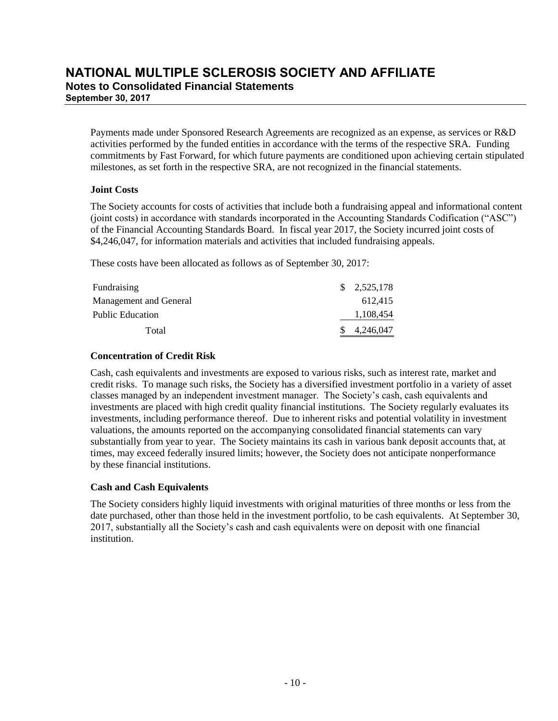Payments made under Sponsored Research Agreements are recognized as an expense, as services or R&D activities performed by the funded entities in accordance with the terms of the respective SRA. Funding commitments by Fast Forward, for which future payments are conditioned upon achieving certain stipulated milestones, as set forth in the respective SRA, are not recognized in the financial statements.

## **Joint Costs**

The Society accounts for costs of activities that include both a fundraising appeal and informational content (joint costs) in accordance with standards incorporated in the Accounting Standards Codification ("ASC") of the Financial Accounting Standards Board. In fiscal year 2017, the Society incurred joint costs of \$4,246,047, for information materials and activities that included fundraising appeals.

These costs have been allocated as follows as of September 30, 2017:

| Fundraising             | $\frac{$}{2,525,178}$ |
|-------------------------|-----------------------|
| Management and General  | 612.415               |
| <b>Public Education</b> | 1,108,454             |
| Total                   | 4.246.047             |

## **Concentration of Credit Risk**

Cash, cash equivalents and investments are exposed to various risks, such as interest rate, market and credit risks. To manage such risks, the Society has a diversified investment portfolio in a variety of asset classes managed by an independent investment manager. The Society's cash, cash equivalents and investments are placed with high credit quality financial institutions. The Society regularly evaluates its investments, including performance thereof. Due to inherent risks and potential volatility in investment valuations, the amounts reported on the accompanying consolidated financial statements can vary substantially from year to year. The Society maintains its cash in various bank deposit accounts that, at times, may exceed federally insured limits; however, the Society does not anticipate nonperformance by these financial institutions.

## **Cash and Cash Equivalents**

The Society considers highly liquid investments with original maturities of three months or less from the date purchased, other than those held in the investment portfolio, to be cash equivalents. At September 30, 2017, substantially all the Society's cash and cash equivalents were on deposit with one financial institution.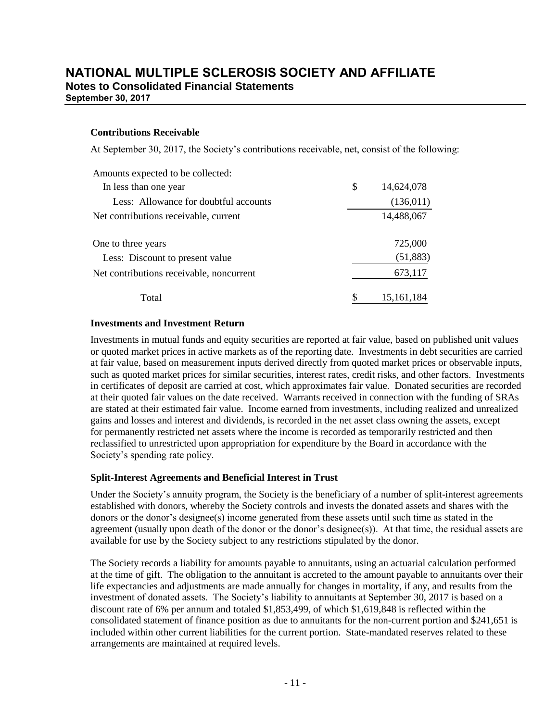#### **Contributions Receivable**

At September 30, 2017, the Society's contributions receivable, net, consist of the following:

| Amounts expected to be collected:        |                  |
|------------------------------------------|------------------|
| In less than one year                    | \$<br>14,624,078 |
| Less: Allowance for doubtful accounts    | (136, 011)       |
| Net contributions receivable, current    | 14,488,067       |
| One to three years                       | 725,000          |
| Less: Discount to present value          | (51, 883)        |
| Net contributions receivable, noncurrent | 673,117          |
| Total                                    | 15, 161, 184     |

#### **Investments and Investment Return**

Investments in mutual funds and equity securities are reported at fair value, based on published unit values or quoted market prices in active markets as of the reporting date. Investments in debt securities are carried at fair value, based on measurement inputs derived directly from quoted market prices or observable inputs, such as quoted market prices for similar securities, interest rates, credit risks, and other factors. Investments in certificates of deposit are carried at cost, which approximates fair value. Donated securities are recorded at their quoted fair values on the date received. Warrants received in connection with the funding of SRAs are stated at their estimated fair value. Income earned from investments, including realized and unrealized gains and losses and interest and dividends, is recorded in the net asset class owning the assets, except for permanently restricted net assets where the income is recorded as temporarily restricted and then reclassified to unrestricted upon appropriation for expenditure by the Board in accordance with the Society's spending rate policy.

### **Split-Interest Agreements and Beneficial Interest in Trust**

Under the Society's annuity program, the Society is the beneficiary of a number of split-interest agreements established with donors, whereby the Society controls and invests the donated assets and shares with the donors or the donor's designee(s) income generated from these assets until such time as stated in the agreement (usually upon death of the donor or the donor's designee(s)). At that time, the residual assets are available for use by the Society subject to any restrictions stipulated by the donor.

The Society records a liability for amounts payable to annuitants, using an actuarial calculation performed at the time of gift. The obligation to the annuitant is accreted to the amount payable to annuitants over their life expectancies and adjustments are made annually for changes in mortality, if any, and results from the investment of donated assets. The Society's liability to annuitants at September 30, 2017 is based on a discount rate of 6% per annum and totaled \$1,853,499, of which \$1,619,848 is reflected within the consolidated statement of finance position as due to annuitants for the non-current portion and \$241,651 is included within other current liabilities for the current portion. State-mandated reserves related to these arrangements are maintained at required levels.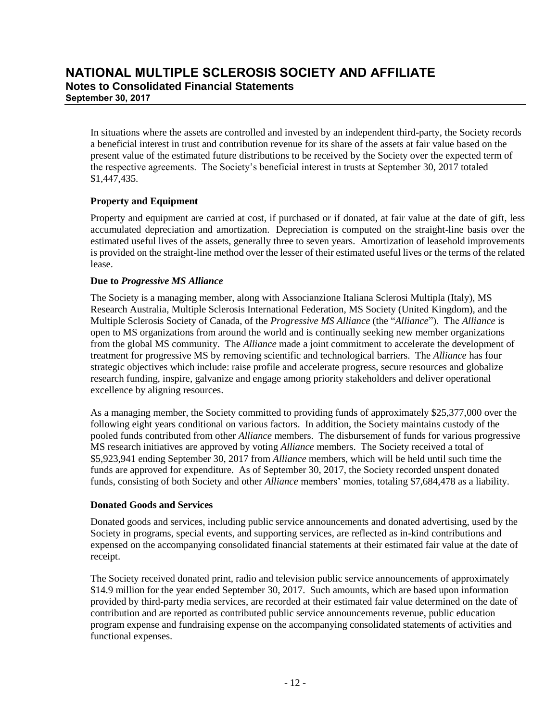In situations where the assets are controlled and invested by an independent third-party, the Society records a beneficial interest in trust and contribution revenue for its share of the assets at fair value based on the present value of the estimated future distributions to be received by the Society over the expected term of the respective agreements. The Society's beneficial interest in trusts at September 30, 2017 totaled \$1,447,435.

## **Property and Equipment**

Property and equipment are carried at cost, if purchased or if donated, at fair value at the date of gift, less accumulated depreciation and amortization. Depreciation is computed on the straight-line basis over the estimated useful lives of the assets, generally three to seven years. Amortization of leasehold improvements is provided on the straight-line method over the lesser of their estimated useful lives or the terms of the related lease.

## **Due to** *Progressive MS Alliance*

The Society is a managing member, along with Associanzione Italiana Sclerosi Multipla (Italy), MS Research Australia, Multiple Sclerosis International Federation, MS Society (United Kingdom), and the Multiple Sclerosis Society of Canada, of the *Progressive MS Alliance* (the "*Alliance*"). The *Alliance* is open to MS organizations from around the world and is continually seeking new member organizations from the global MS community. The *Alliance* made a joint commitment to accelerate the development of treatment for progressive MS by removing scientific and technological barriers. The *Alliance* has four strategic objectives which include: raise profile and accelerate progress, secure resources and globalize research funding, inspire, galvanize and engage among priority stakeholders and deliver operational excellence by aligning resources.

As a managing member, the Society committed to providing funds of approximately \$25,377,000 over the following eight years conditional on various factors. In addition, the Society maintains custody of the pooled funds contributed from other *Alliance* members. The disbursement of funds for various progressive MS research initiatives are approved by voting *Alliance* members. The Society received a total of \$5,923,941 ending September 30, 2017 from *Alliance* members, which will be held until such time the funds are approved for expenditure. As of September 30, 2017, the Society recorded unspent donated funds, consisting of both Society and other *Alliance* members' monies, totaling \$7,684,478 as a liability.

### **Donated Goods and Services**

Donated goods and services, including public service announcements and donated advertising, used by the Society in programs, special events, and supporting services, are reflected as in-kind contributions and expensed on the accompanying consolidated financial statements at their estimated fair value at the date of receipt.

The Society received donated print, radio and television public service announcements of approximately \$14.9 million for the year ended September 30, 2017. Such amounts, which are based upon information provided by third-party media services, are recorded at their estimated fair value determined on the date of contribution and are reported as contributed public service announcements revenue, public education program expense and fundraising expense on the accompanying consolidated statements of activities and functional expenses.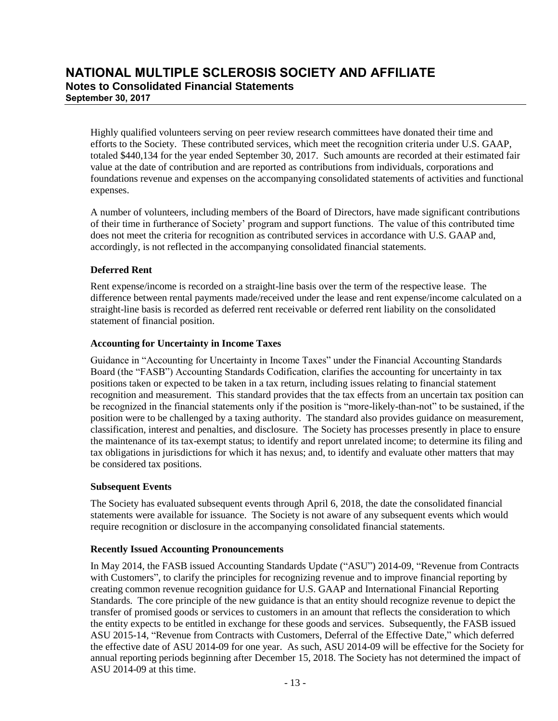Highly qualified volunteers serving on peer review research committees have donated their time and efforts to the Society. These contributed services, which meet the recognition criteria under U.S. GAAP, totaled \$440,134 for the year ended September 30, 2017. Such amounts are recorded at their estimated fair value at the date of contribution and are reported as contributions from individuals, corporations and foundations revenue and expenses on the accompanying consolidated statements of activities and functional expenses.

A number of volunteers, including members of the Board of Directors, have made significant contributions of their time in furtherance of Society' program and support functions. The value of this contributed time does not meet the criteria for recognition as contributed services in accordance with U.S. GAAP and, accordingly, is not reflected in the accompanying consolidated financial statements.

## **Deferred Rent**

Rent expense/income is recorded on a straight-line basis over the term of the respective lease. The difference between rental payments made/received under the lease and rent expense/income calculated on a straight-line basis is recorded as deferred rent receivable or deferred rent liability on the consolidated statement of financial position.

## **Accounting for Uncertainty in Income Taxes**

Guidance in "Accounting for Uncertainty in Income Taxes" under the Financial Accounting Standards Board (the "FASB") Accounting Standards Codification, clarifies the accounting for uncertainty in tax positions taken or expected to be taken in a tax return, including issues relating to financial statement recognition and measurement. This standard provides that the tax effects from an uncertain tax position can be recognized in the financial statements only if the position is "more-likely-than-not" to be sustained, if the position were to be challenged by a taxing authority. The standard also provides guidance on measurement, classification, interest and penalties, and disclosure. The Society has processes presently in place to ensure the maintenance of its tax-exempt status; to identify and report unrelated income; to determine its filing and tax obligations in jurisdictions for which it has nexus; and, to identify and evaluate other matters that may be considered tax positions.

### **Subsequent Events**

The Society has evaluated subsequent events through April 6, 2018, the date the consolidated financial statements were available for issuance. The Society is not aware of any subsequent events which would require recognition or disclosure in the accompanying consolidated financial statements.

## **Recently Issued Accounting Pronouncements**

In May 2014, the FASB issued Accounting Standards Update ("ASU") 2014-09, "Revenue from Contracts with Customers", to clarify the principles for recognizing revenue and to improve financial reporting by creating common revenue recognition guidance for U.S. GAAP and International Financial Reporting Standards. The core principle of the new guidance is that an entity should recognize revenue to depict the transfer of promised goods or services to customers in an amount that reflects the consideration to which the entity expects to be entitled in exchange for these goods and services. Subsequently, the FASB issued ASU 2015-14, "Revenue from Contracts with Customers, Deferral of the Effective Date," which deferred the effective date of ASU 2014-09 for one year. As such, ASU 2014-09 will be effective for the Society for annual reporting periods beginning after December 15, 2018. The Society has not determined the impact of ASU 2014-09 at this time.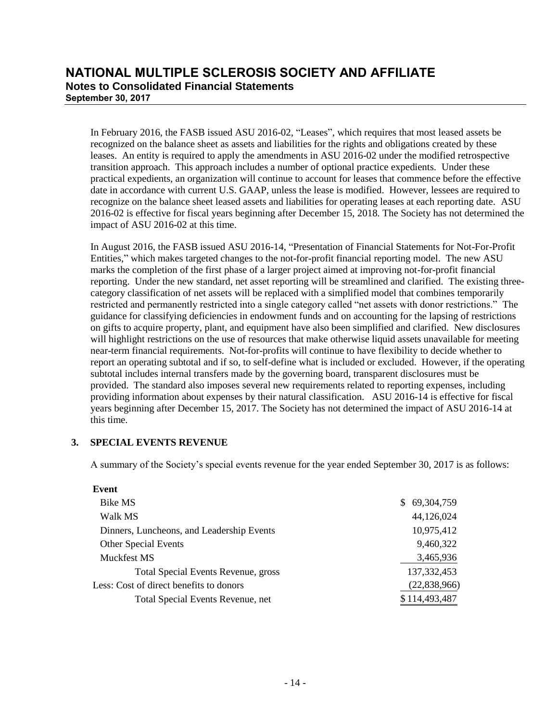In February 2016, the FASB issued ASU 2016-02, "Leases", which requires that most leased assets be recognized on the balance sheet as assets and liabilities for the rights and obligations created by these leases. An entity is required to apply the amendments in ASU 2016-02 under the modified retrospective transition approach. This approach includes a number of optional practice expedients. Under these practical expedients, an organization will continue to account for leases that commence before the effective date in accordance with current U.S. GAAP, unless the lease is modified. However, lessees are required to recognize on the balance sheet leased assets and liabilities for operating leases at each reporting date. ASU 2016-02 is effective for fiscal years beginning after December 15, 2018. The Society has not determined the impact of ASU 2016-02 at this time.

In August 2016, the FASB issued ASU 2016-14, "Presentation of Financial Statements for Not-For-Profit Entities," which makes targeted changes to the not-for-profit financial reporting model. The new ASU marks the completion of the first phase of a larger project aimed at improving not-for-profit financial reporting. Under the new standard, net asset reporting will be streamlined and clarified. The existing threecategory classification of net assets will be replaced with a simplified model that combines temporarily restricted and permanently restricted into a single category called "net assets with donor restrictions." The guidance for classifying deficiencies in endowment funds and on accounting for the lapsing of restrictions on gifts to acquire property, plant, and equipment have also been simplified and clarified. New disclosures will highlight restrictions on the use of resources that make otherwise liquid assets unavailable for meeting near-term financial requirements. Not-for-profits will continue to have flexibility to decide whether to report an operating subtotal and if so, to self-define what is included or excluded. However, if the operating subtotal includes internal transfers made by the governing board, transparent disclosures must be provided. The standard also imposes several new requirements related to reporting expenses, including providing information about expenses by their natural classification. ASU 2016-14 is effective for fiscal years beginning after December 15, 2017. The Society has not determined the impact of ASU 2016-14 at this time.

## **3. SPECIAL EVENTS REVENUE**

A summary of the Society's special events revenue for the year ended September 30, 2017 is as follows:

| \$ 69,304,759 |
|---------------|
| 44,126,024    |
| 10,975,412    |
| 9,460,322     |
| 3,465,936     |
| 137, 332, 453 |
| (22,838,966)  |
| \$114,493,487 |
|               |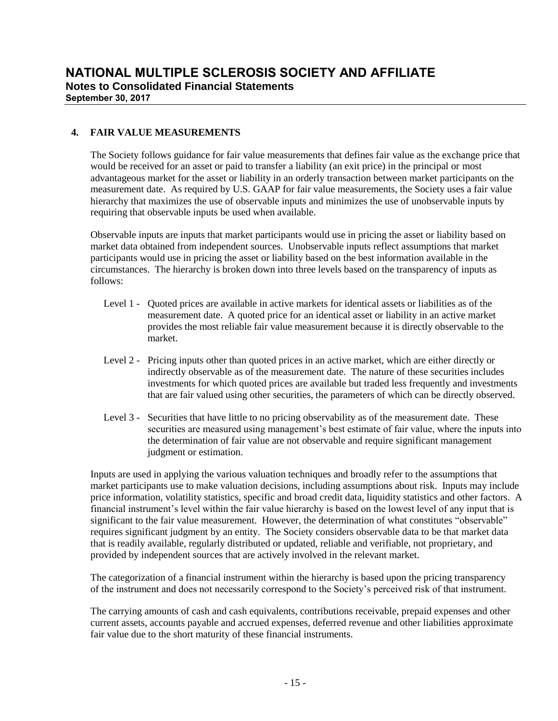## **4. FAIR VALUE MEASUREMENTS**

The Society follows guidance for fair value measurements that defines fair value as the exchange price that would be received for an asset or paid to transfer a liability (an exit price) in the principal or most advantageous market for the asset or liability in an orderly transaction between market participants on the measurement date. As required by U.S. GAAP for fair value measurements, the Society uses a fair value hierarchy that maximizes the use of observable inputs and minimizes the use of unobservable inputs by requiring that observable inputs be used when available.

Observable inputs are inputs that market participants would use in pricing the asset or liability based on market data obtained from independent sources. Unobservable inputs reflect assumptions that market participants would use in pricing the asset or liability based on the best information available in the circumstances. The hierarchy is broken down into three levels based on the transparency of inputs as follows:

- Level 1 Quoted prices are available in active markets for identical assets or liabilities as of the measurement date. A quoted price for an identical asset or liability in an active market provides the most reliable fair value measurement because it is directly observable to the market.
- Level 2 Pricing inputs other than quoted prices in an active market, which are either directly or indirectly observable as of the measurement date. The nature of these securities includes investments for which quoted prices are available but traded less frequently and investments that are fair valued using other securities, the parameters of which can be directly observed.
- Level 3 Securities that have little to no pricing observability as of the measurement date. These securities are measured using management's best estimate of fair value, where the inputs into the determination of fair value are not observable and require significant management judgment or estimation.

Inputs are used in applying the various valuation techniques and broadly refer to the assumptions that market participants use to make valuation decisions, including assumptions about risk. Inputs may include price information, volatility statistics, specific and broad credit data, liquidity statistics and other factors. A financial instrument's level within the fair value hierarchy is based on the lowest level of any input that is significant to the fair value measurement. However, the determination of what constitutes "observable" requires significant judgment by an entity. The Society considers observable data to be that market data that is readily available, regularly distributed or updated, reliable and verifiable, not proprietary, and provided by independent sources that are actively involved in the relevant market.

The categorization of a financial instrument within the hierarchy is based upon the pricing transparency of the instrument and does not necessarily correspond to the Society's perceived risk of that instrument.

The carrying amounts of cash and cash equivalents, contributions receivable, prepaid expenses and other current assets, accounts payable and accrued expenses, deferred revenue and other liabilities approximate fair value due to the short maturity of these financial instruments.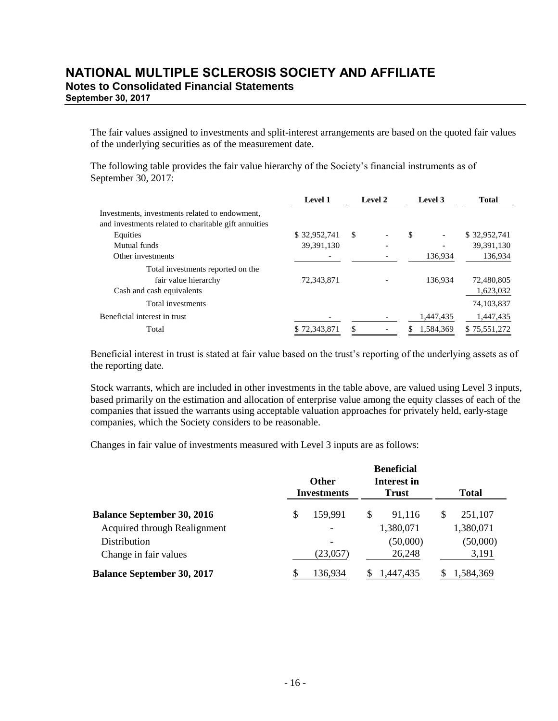The fair values assigned to investments and split-interest arrangements are based on the quoted fair values of the underlying securities as of the measurement date.

The following table provides the fair value hierarchy of the Society's financial instruments as of September 30, 2017:

|                                                      | <b>Level 1</b> | Level 2 |  | Level 3 |                 | <b>Total</b> |
|------------------------------------------------------|----------------|---------|--|---------|-----------------|--------------|
| Investments, investments related to endowment,       |                |         |  |         |                 |              |
| and investments related to charitable gift annuities |                |         |  |         |                 |              |
| Equities                                             | \$32,952,741   | \$      |  | \$      | $\qquad \qquad$ | \$32,952,741 |
| Mutual funds                                         | 39, 391, 130   |         |  |         |                 | 39,391,130   |
| Other investments                                    |                |         |  |         | 136,934         | 136,934      |
| Total investments reported on the                    |                |         |  |         |                 |              |
| fair value hierarchy                                 | 72,343,871     |         |  |         | 136.934         | 72,480,805   |
| Cash and cash equivalents                            |                |         |  |         |                 | 1,623,032    |
| Total investments                                    |                |         |  |         |                 | 74,103,837   |
| Beneficial interest in trust                         |                |         |  |         | 1,447,435       | 1,447,435    |
| Total                                                | \$72,343,871   | \$      |  |         | 1,584,369       | \$75,551,272 |

Beneficial interest in trust is stated at fair value based on the trust's reporting of the underlying assets as of the reporting date.

Stock warrants, which are included in other investments in the table above, are valued using Level 3 inputs, based primarily on the estimation and allocation of enterprise value among the equity classes of each of the companies that issued the warrants using acceptable valuation approaches for privately held, early-stage companies, which the Society considers to be reasonable.

Changes in fair value of investments measured with Level 3 inputs are as follows:

|                                   |   | <b>Other</b><br><b>Investments</b> | <b>Beneficial</b><br>Interest in<br><b>Trust</b> |   | <b>Total</b> |
|-----------------------------------|---|------------------------------------|--------------------------------------------------|---|--------------|
| <b>Balance September 30, 2016</b> | S | 159,991                            | \$<br>91,116                                     | S | 251,107      |
| Acquired through Realignment      |   |                                    | 1,380,071                                        |   | 1,380,071    |
| <b>Distribution</b>               |   |                                    | (50,000)                                         |   | (50,000)     |
| Change in fair values             |   | (23,057)                           | 26,248                                           |   | 3,191        |
| <b>Balance September 30, 2017</b> |   | 136,934                            | 1,447,435                                        |   | 1,584,369    |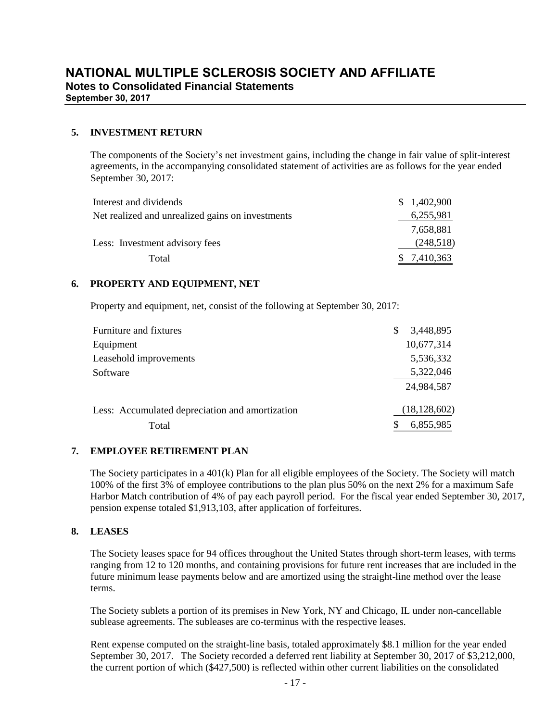## **5. INVESTMENT RETURN**

The components of the Society's net investment gains, including the change in fair value of split-interest agreements, in the accompanying consolidated statement of activities are as follows for the year ended September 30, 2017:

| Interest and dividends                           | \$1,402,900  |
|--------------------------------------------------|--------------|
| Net realized and unrealized gains on investments | 6,255,981    |
|                                                  | 7.658.881    |
| Less: Investment advisory fees                   | (248,518)    |
| Total                                            | \$ 7,410,363 |

#### **6. PROPERTY AND EQUIPMENT, NET**

Property and equipment, net, consist of the following at September 30, 2017:

| Furniture and fixtures                          | 3,448,895<br>S |
|-------------------------------------------------|----------------|
| Equipment                                       | 10,677,314     |
| Leasehold improvements                          | 5,536,332      |
| Software                                        | 5,322,046      |
|                                                 | 24,984,587     |
| Less: Accumulated depreciation and amortization | (18, 128, 602) |
| Total                                           | 6,855,985      |

### **7. EMPLOYEE RETIREMENT PLAN**

The Society participates in a 401(k) Plan for all eligible employees of the Society. The Society will match 100% of the first 3% of employee contributions to the plan plus 50% on the next 2% for a maximum Safe Harbor Match contribution of 4% of pay each payroll period. For the fiscal year ended September 30, 2017, pension expense totaled \$1,913,103, after application of forfeitures.

### **8. LEASES**

The Society leases space for 94 offices throughout the United States through short-term leases, with terms ranging from 12 to 120 months, and containing provisions for future rent increases that are included in the future minimum lease payments below and are amortized using the straight-line method over the lease terms.

The Society sublets a portion of its premises in New York, NY and Chicago, IL under non-cancellable sublease agreements. The subleases are co-terminus with the respective leases.

Rent expense computed on the straight-line basis, totaled approximately \$8.1 million for the year ended September 30, 2017. The Society recorded a deferred rent liability at September 30, 2017 of \$3,212,000, the current portion of which (\$427,500) is reflected within other current liabilities on the consolidated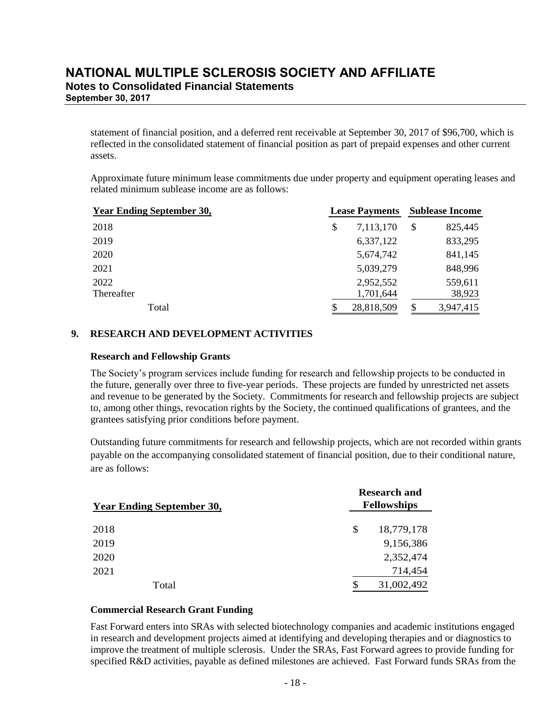statement of financial position, and a deferred rent receivable at September 30, 2017 of \$96,700, which is reflected in the consolidated statement of financial position as part of prepaid expenses and other current assets.

Approximate future minimum lease commitments due under property and equipment operating leases and related minimum sublease income are as follows:

| <b>Year Ending September 30,</b> | <b>Lease Payments</b> | <b>Sublease Income</b> |           |  |
|----------------------------------|-----------------------|------------------------|-----------|--|
| 2018                             | \$<br>7,113,170       | \$                     | 825,445   |  |
| 2019                             | 6,337,122             |                        | 833,295   |  |
| 2020                             | 5,674,742             |                        | 841,145   |  |
| 2021                             | 5,039,279             |                        | 848,996   |  |
| 2022                             | 2,952,552             |                        | 559,611   |  |
| Thereafter                       | 1,701,644             |                        | 38,923    |  |
| Total                            | \$<br>28,818,509      |                        | 3,947,415 |  |

### **9. RESEARCH AND DEVELOPMENT ACTIVITIES**

#### **Research and Fellowship Grants**

The Society's program services include funding for research and fellowship projects to be conducted in the future, generally over three to five-year periods. These projects are funded by unrestricted net assets and revenue to be generated by the Society. Commitments for research and fellowship projects are subject to, among other things, revocation rights by the Society, the continued qualifications of grantees, and the grantees satisfying prior conditions before payment.

Outstanding future commitments for research and fellowship projects, which are not recorded within grants payable on the accompanying consolidated statement of financial position, due to their conditional nature, are as follows:

| <b>Year Ending September 30,</b> | <b>Research and</b><br><b>Fellowships</b> |  |  |  |
|----------------------------------|-------------------------------------------|--|--|--|
| 2018                             | \$<br>18,779,178                          |  |  |  |
| 2019                             | 9,156,386                                 |  |  |  |
| 2020                             | 2,352,474                                 |  |  |  |
| 2021                             | 714,454                                   |  |  |  |
| Total                            | 31,002,492                                |  |  |  |

### **Commercial Research Grant Funding**

Fast Forward enters into SRAs with selected biotechnology companies and academic institutions engaged in research and development projects aimed at identifying and developing therapies and or diagnostics to improve the treatment of multiple sclerosis. Under the SRAs, Fast Forward agrees to provide funding for specified R&D activities, payable as defined milestones are achieved. Fast Forward funds SRAs from the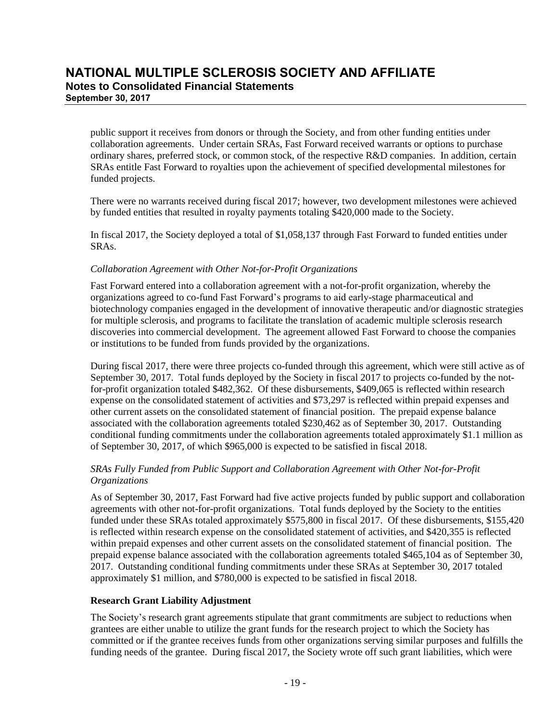public support it receives from donors or through the Society, and from other funding entities under collaboration agreements. Under certain SRAs, Fast Forward received warrants or options to purchase ordinary shares, preferred stock, or common stock, of the respective R&D companies. In addition, certain SRAs entitle Fast Forward to royalties upon the achievement of specified developmental milestones for funded projects.

There were no warrants received during fiscal 2017; however, two development milestones were achieved by funded entities that resulted in royalty payments totaling \$420,000 made to the Society.

In fiscal 2017, the Society deployed a total of \$1,058,137 through Fast Forward to funded entities under SRAs.

## *Collaboration Agreement with Other Not-for-Profit Organizations*

Fast Forward entered into a collaboration agreement with a not-for-profit organization, whereby the organizations agreed to co-fund Fast Forward's programs to aid early-stage pharmaceutical and biotechnology companies engaged in the development of innovative therapeutic and/or diagnostic strategies for multiple sclerosis, and programs to facilitate the translation of academic multiple sclerosis research discoveries into commercial development. The agreement allowed Fast Forward to choose the companies or institutions to be funded from funds provided by the organizations.

During fiscal 2017, there were three projects co-funded through this agreement, which were still active as of September 30, 2017. Total funds deployed by the Society in fiscal 2017 to projects co-funded by the notfor-profit organization totaled \$482,362. Of these disbursements, \$409,065 is reflected within research expense on the consolidated statement of activities and \$73,297 is reflected within prepaid expenses and other current assets on the consolidated statement of financial position. The prepaid expense balance associated with the collaboration agreements totaled \$230,462 as of September 30, 2017. Outstanding conditional funding commitments under the collaboration agreements totaled approximately \$1.1 million as of September 30, 2017, of which \$965,000 is expected to be satisfied in fiscal 2018.

## *SRAs Fully Funded from Public Support and Collaboration Agreement with Other Not-for-Profit Organizations*

As of September 30, 2017, Fast Forward had five active projects funded by public support and collaboration agreements with other not-for-profit organizations. Total funds deployed by the Society to the entities funded under these SRAs totaled approximately \$575,800 in fiscal 2017. Of these disbursements, \$155,420 is reflected within research expense on the consolidated statement of activities, and \$420,355 is reflected within prepaid expenses and other current assets on the consolidated statement of financial position. The prepaid expense balance associated with the collaboration agreements totaled \$465,104 as of September 30, 2017. Outstanding conditional funding commitments under these SRAs at September 30, 2017 totaled approximately \$1 million, and \$780,000 is expected to be satisfied in fiscal 2018.

## **Research Grant Liability Adjustment**

The Society's research grant agreements stipulate that grant commitments are subject to reductions when grantees are either unable to utilize the grant funds for the research project to which the Society has committed or if the grantee receives funds from other organizations serving similar purposes and fulfills the funding needs of the grantee. During fiscal 2017, the Society wrote off such grant liabilities, which were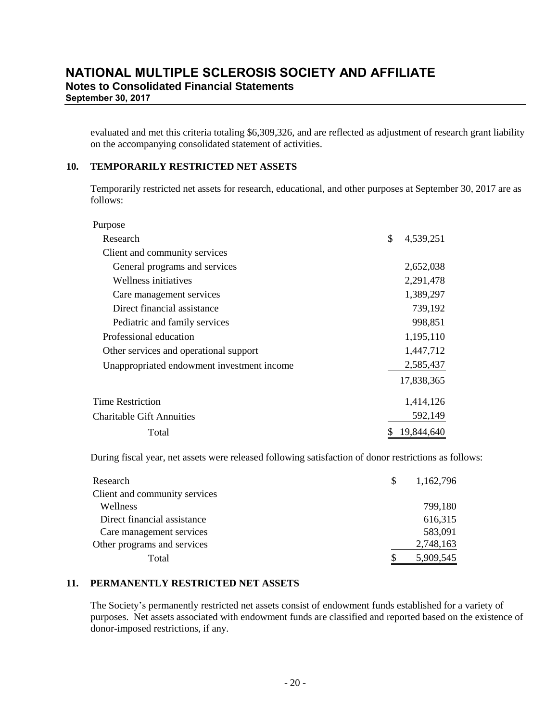evaluated and met this criteria totaling \$6,309,326, and are reflected as adjustment of research grant liability on the accompanying consolidated statement of activities.

## **10. TEMPORARILY RESTRICTED NET ASSETS**

Temporarily restricted net assets for research, educational, and other purposes at September 30, 2017 are as follows:

| Purpose                                    |                 |
|--------------------------------------------|-----------------|
| Research                                   | \$<br>4,539,251 |
| Client and community services              |                 |
| General programs and services              | 2,652,038       |
| Wellness initiatives                       | 2,291,478       |
| Care management services                   | 1,389,297       |
| Direct financial assistance                | 739,192         |
| Pediatric and family services              | 998,851         |
| Professional education                     | 1,195,110       |
| Other services and operational support     | 1,447,712       |
| Unappropriated endowment investment income | 2,585,437       |
|                                            | 17,838,365      |
| Time Restriction                           | 1,414,126       |
| <b>Charitable Gift Annuities</b>           | 592,149         |
| Total                                      | 19,844,640      |

During fiscal year, net assets were released following satisfaction of donor restrictions as follows:

| Research                      | \$. | 1,162,796 |
|-------------------------------|-----|-----------|
| Client and community services |     |           |
| Wellness                      |     | 799,180   |
| Direct financial assistance   |     | 616,315   |
| Care management services      |     | 583,091   |
| Other programs and services   |     | 2,748,163 |
| Total                         |     | 5,909,545 |

## **11. PERMANENTLY RESTRICTED NET ASSETS**

The Society's permanently restricted net assets consist of endowment funds established for a variety of purposes. Net assets associated with endowment funds are classified and reported based on the existence of donor-imposed restrictions, if any.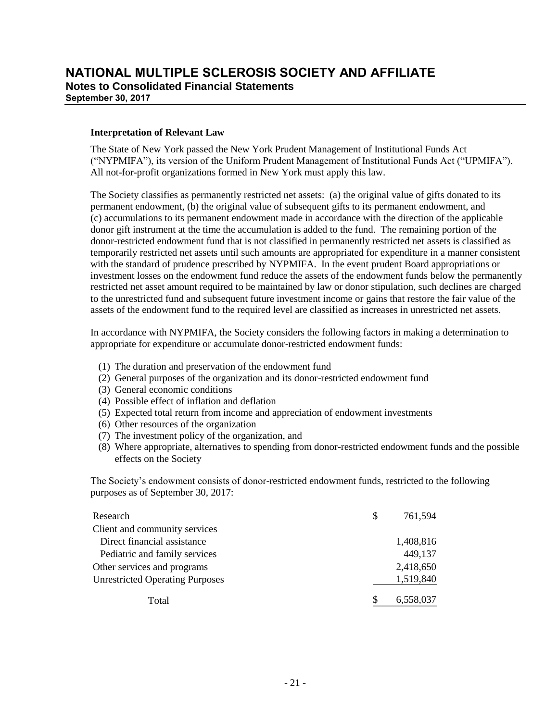#### **Interpretation of Relevant Law**

The State of New York passed the New York Prudent Management of Institutional Funds Act ("NYPMIFA"), its version of the Uniform Prudent Management of Institutional Funds Act ("UPMIFA"). All not-for-profit organizations formed in New York must apply this law.

The Society classifies as permanently restricted net assets: (a) the original value of gifts donated to its permanent endowment, (b) the original value of subsequent gifts to its permanent endowment, and (c) accumulations to its permanent endowment made in accordance with the direction of the applicable donor gift instrument at the time the accumulation is added to the fund. The remaining portion of the donor-restricted endowment fund that is not classified in permanently restricted net assets is classified as temporarily restricted net assets until such amounts are appropriated for expenditure in a manner consistent with the standard of prudence prescribed by NYPMIFA. In the event prudent Board appropriations or investment losses on the endowment fund reduce the assets of the endowment funds below the permanently restricted net asset amount required to be maintained by law or donor stipulation, such declines are charged to the unrestricted fund and subsequent future investment income or gains that restore the fair value of the assets of the endowment fund to the required level are classified as increases in unrestricted net assets.

In accordance with NYPMIFA, the Society considers the following factors in making a determination to appropriate for expenditure or accumulate donor-restricted endowment funds:

- (1) The duration and preservation of the endowment fund
- (2) General purposes of the organization and its donor-restricted endowment fund
- (3) General economic conditions
- (4) Possible effect of inflation and deflation
- (5) Expected total return from income and appreciation of endowment investments
- (6) Other resources of the organization
- (7) The investment policy of the organization, and
- (8) Where appropriate, alternatives to spending from donor-restricted endowment funds and the possible effects on the Society

The Society's endowment consists of donor-restricted endowment funds, restricted to the following purposes as of September 30, 2017:

| Research                               | S | 761,594   |
|----------------------------------------|---|-----------|
| Client and community services          |   |           |
| Direct financial assistance            |   | 1,408,816 |
| Pediatric and family services          |   | 449,137   |
| Other services and programs            |   | 2,418,650 |
| <b>Unrestricted Operating Purposes</b> |   | 1,519,840 |
| Total                                  |   | 6,558,037 |